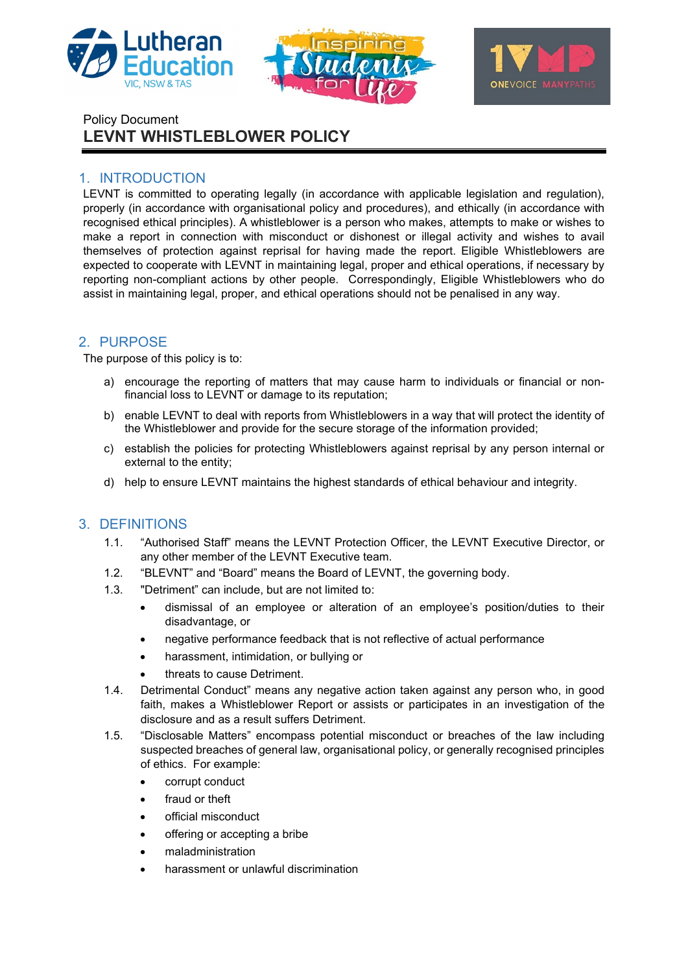





Policy Document **LEVNT WHISTLEBLOWER POLICY**

# 1. INTRODUCTION

LEVNT is committed to operating legally (in accordance with applicable legislation and regulation), properly (in accordance with organisational policy and procedures), and ethically (in accordance with recognised ethical principles). A whistleblower is a person who makes, attempts to make or wishes to make a report in connection with misconduct or dishonest or illegal activity and wishes to avail themselves of protection against reprisal for having made the report. Eligible Whistleblowers are expected to cooperate with LEVNT in maintaining legal, proper and ethical operations, if necessary by reporting non-compliant actions by other people. Correspondingly, Eligible Whistleblowers who do assist in maintaining legal, proper, and ethical operations should not be penalised in any way.

# 2. PURPOSE

The purpose of this policy is to:

- a) encourage the reporting of matters that may cause harm to individuals or financial or nonfinancial loss to LEVNT or damage to its reputation;
- b) enable LEVNT to deal with reports from Whistleblowers in a way that will protect the identity of the Whistleblower and provide for the secure storage of the information provided;
- c) establish the policies for protecting Whistleblowers against reprisal by any person internal or external to the entity;
- d) help to ensure LEVNT maintains the highest standards of ethical behaviour and integrity.

# 3. DEFINITIONS

- 1.1. "Authorised Staff" means the LEVNT Protection Officer, the LEVNT Executive Director, or any other member of the LEVNT Executive team.
- 1.2. "BLEVNT" and "Board" means the Board of LEVNT, the governing body.
- 1.3. "Detriment" can include, but are not limited to:
	- dismissal of an employee or alteration of an employee's position/duties to their disadvantage, or
	- negative performance feedback that is not reflective of actual performance
	- harassment, intimidation, or bullying or
	- threats to cause Detriment.
- 1.4. Detrimental Conduct" means any negative action taken against any person who, in good faith, makes a Whistleblower Report or assists or participates in an investigation of the disclosure and as a result suffers Detriment.
- 1.5. "Disclosable Matters" encompass potential misconduct or breaches of the law including suspected breaches of general law, organisational policy, or generally recognised principles of ethics. For example:
	- corrupt conduct
	- fraud or theft
	- official misconduct
	- offering or accepting a bribe
	- maladministration
	- harassment or unlawful discrimination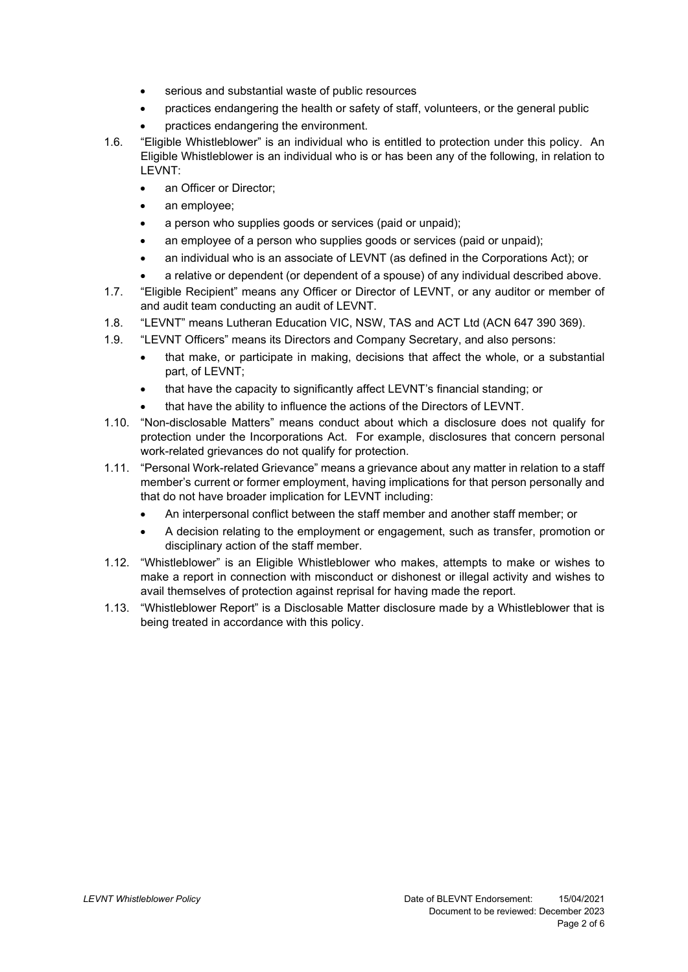- serious and substantial waste of public resources
- practices endangering the health or safety of staff, volunteers, or the general public
- practices endangering the environment.
- 1.6. "Eligible Whistleblower" is an individual who is entitled to protection under this policy. An Eligible Whistleblower is an individual who is or has been any of the following, in relation to LEVNT:
	- an Officer or Director:
	- an employee;
	- a person who supplies goods or services (paid or unpaid);
	- an employee of a person who supplies goods or services (paid or unpaid);
	- an individual who is an associate of LEVNT (as defined in the Corporations Act); or
	- a relative or dependent (or dependent of a spouse) of any individual described above.
- 1.7. "Eligible Recipient" means any Officer or Director of LEVNT, or any auditor or member of and audit team conducting an audit of LEVNT.
- 1.8. "LEVNT" means Lutheran Education VIC, NSW, TAS and ACT Ltd (ACN 647 390 369).
- 1.9. "LEVNT Officers" means its Directors and Company Secretary, and also persons:
	- that make, or participate in making, decisions that affect the whole, or a substantial part, of LEVNT;
	- that have the capacity to significantly affect LEVNT's financial standing; or
	- that have the ability to influence the actions of the Directors of LEVNT.
- 1.10. "Non-disclosable Matters" means conduct about which a disclosure does not qualify for protection under the Incorporations Act. For example, disclosures that concern personal work-related grievances do not qualify for protection.
- 1.11. "Personal Work-related Grievance" means a grievance about any matter in relation to a staff member's current or former employment, having implications for that person personally and that do not have broader implication for LEVNT including:
	- An interpersonal conflict between the staff member and another staff member; or
	- A decision relating to the employment or engagement, such as transfer, promotion or disciplinary action of the staff member.
- 1.12. "Whistleblower" is an Eligible Whistleblower who makes, attempts to make or wishes to make a report in connection with misconduct or dishonest or illegal activity and wishes to avail themselves of protection against reprisal for having made the report.
- 1.13. "Whistleblower Report" is a Disclosable Matter disclosure made by a Whistleblower that is being treated in accordance with this policy.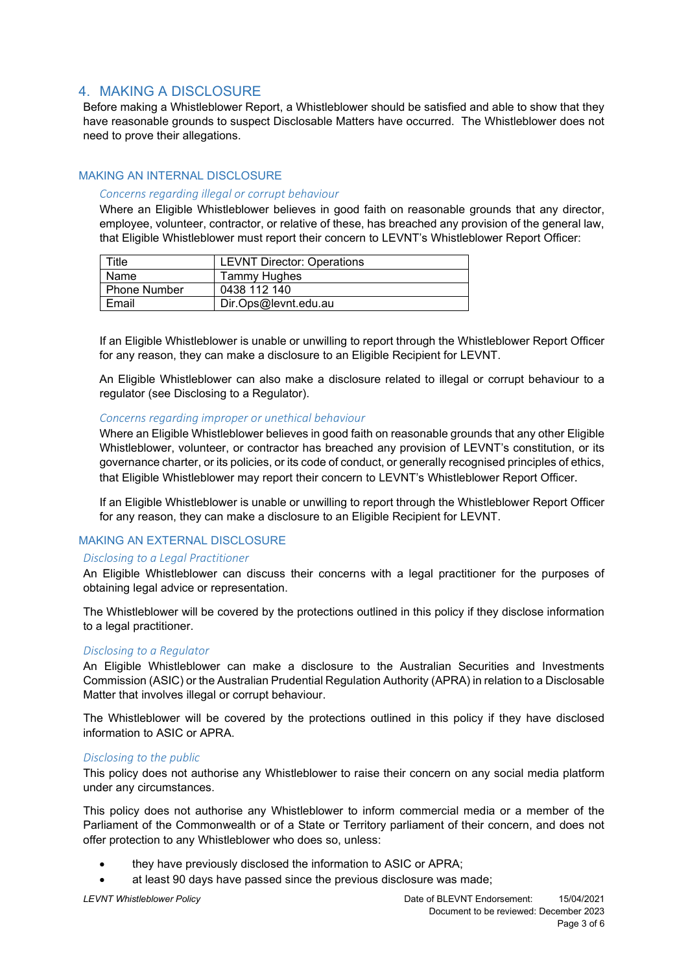# 4. MAKING A DISCLOSURE

Before making a Whistleblower Report, a Whistleblower should be satisfied and able to show that they have reasonable grounds to suspect Disclosable Matters have occurred. The Whistleblower does not need to prove their allegations.

## MAKING AN INTERNAL DISCLOSURE

### *Concerns regarding illegal or corrupt behaviour*

Where an Eligible Whistleblower believes in good faith on reasonable grounds that any director, employee, volunteer, contractor, or relative of these, has breached any provision of the general law, that Eligible Whistleblower must report their concern to LEVNT's Whistleblower Report Officer:

| ⊺itle               | <b>LEVNT Director: Operations</b> |
|---------------------|-----------------------------------|
| Name                | Tammy Hughes                      |
| <b>Phone Number</b> | 0438 112 140                      |
| Email               | Dir.Ops@levnt.edu.au              |

If an Eligible Whistleblower is unable or unwilling to report through the Whistleblower Report Officer for any reason, they can make a disclosure to an Eligible Recipient for LEVNT.

An Eligible Whistleblower can also make a disclosure related to illegal or corrupt behaviour to a regulator (see Disclosing to a Regulator).

## *Concerns regarding improper or unethical behaviour*

Where an Eligible Whistleblower believes in good faith on reasonable grounds that any other Eligible Whistleblower, volunteer, or contractor has breached any provision of LEVNT's constitution, or its governance charter, or its policies, or its code of conduct, or generally recognised principles of ethics, that Eligible Whistleblower may report their concern to LEVNT's Whistleblower Report Officer.

If an Eligible Whistleblower is unable or unwilling to report through the Whistleblower Report Officer for any reason, they can make a disclosure to an Eligible Recipient for LEVNT.

## MAKING AN EXTERNAL DISCLOSURE

#### *Disclosing to a Legal Practitioner*

An Eligible Whistleblower can discuss their concerns with a legal practitioner for the purposes of obtaining legal advice or representation.

The Whistleblower will be covered by the protections outlined in this policy if they disclose information to a legal practitioner.

#### *Disclosing to a Regulator*

An Eligible Whistleblower can make a disclosure to the Australian Securities and Investments Commission (ASIC) or the Australian Prudential Regulation Authority (APRA) in relation to a Disclosable Matter that involves illegal or corrupt behaviour.

The Whistleblower will be covered by the protections outlined in this policy if they have disclosed information to ASIC or APRA.

#### *Disclosing to the public*

This policy does not authorise any Whistleblower to raise their concern on any social media platform under any circumstances.

This policy does not authorise any Whistleblower to inform commercial media or a member of the Parliament of the Commonwealth or of a State or Territory parliament of their concern, and does not offer protection to any Whistleblower who does so, unless:

- they have previously disclosed the information to ASIC or APRA;
- at least 90 days have passed since the previous disclosure was made;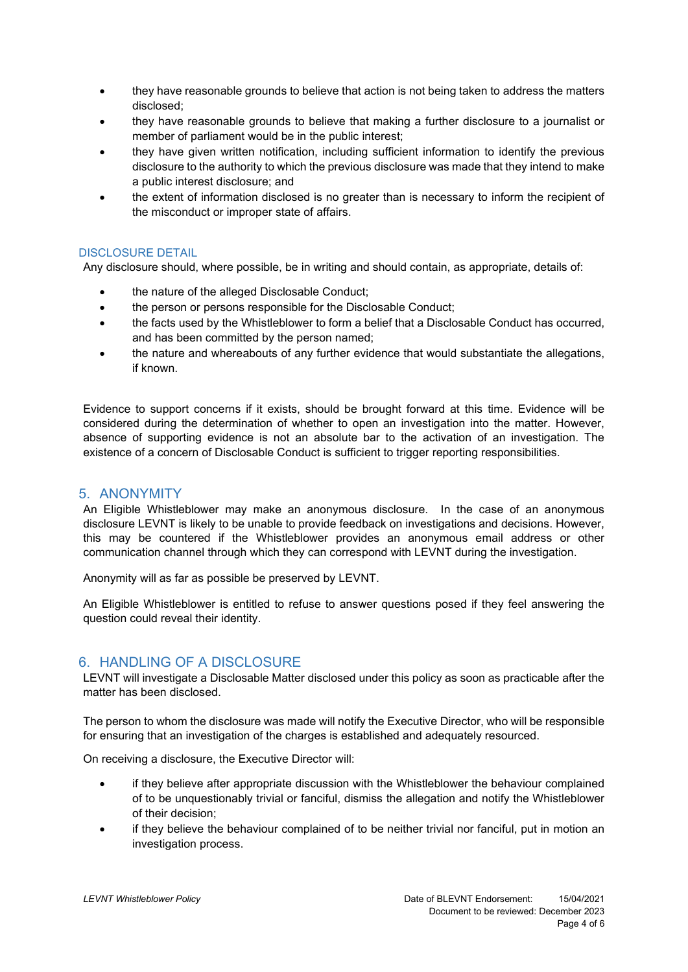- they have reasonable grounds to believe that action is not being taken to address the matters disclosed;
- they have reasonable grounds to believe that making a further disclosure to a journalist or member of parliament would be in the public interest;
- they have given written notification, including sufficient information to identify the previous disclosure to the authority to which the previous disclosure was made that they intend to make a public interest disclosure; and
- the extent of information disclosed is no greater than is necessary to inform the recipient of the misconduct or improper state of affairs.

## DISCLOSURE DETAIL

Any disclosure should, where possible, be in writing and should contain, as appropriate, details of:

- the nature of the alleged Disclosable Conduct;
- the person or persons responsible for the Disclosable Conduct;
- the facts used by the Whistleblower to form a belief that a Disclosable Conduct has occurred, and has been committed by the person named;
- the nature and whereabouts of any further evidence that would substantiate the allegations, if known.

Evidence to support concerns if it exists, should be brought forward at this time. Evidence will be considered during the determination of whether to open an investigation into the matter. However, absence of supporting evidence is not an absolute bar to the activation of an investigation. The existence of a concern of Disclosable Conduct is sufficient to trigger reporting responsibilities.

# 5. ANONYMITY

An Eligible Whistleblower may make an anonymous disclosure. In the case of an anonymous disclosure LEVNT is likely to be unable to provide feedback on investigations and decisions. However, this may be countered if the Whistleblower provides an anonymous email address or other communication channel through which they can correspond with LEVNT during the investigation.

Anonymity will as far as possible be preserved by LEVNT.

An Eligible Whistleblower is entitled to refuse to answer questions posed if they feel answering the question could reveal their identity.

# 6. HANDLING OF A DISCLOSURE

LEVNT will investigate a Disclosable Matter disclosed under this policy as soon as practicable after the matter has been disclosed.

The person to whom the disclosure was made will notify the Executive Director, who will be responsible for ensuring that an investigation of the charges is established and adequately resourced.

On receiving a disclosure, the Executive Director will:

- if they believe after appropriate discussion with the Whistleblower the behaviour complained of to be unquestionably trivial or fanciful, dismiss the allegation and notify the Whistleblower of their decision;
- if they believe the behaviour complained of to be neither trivial nor fanciful, put in motion an investigation process.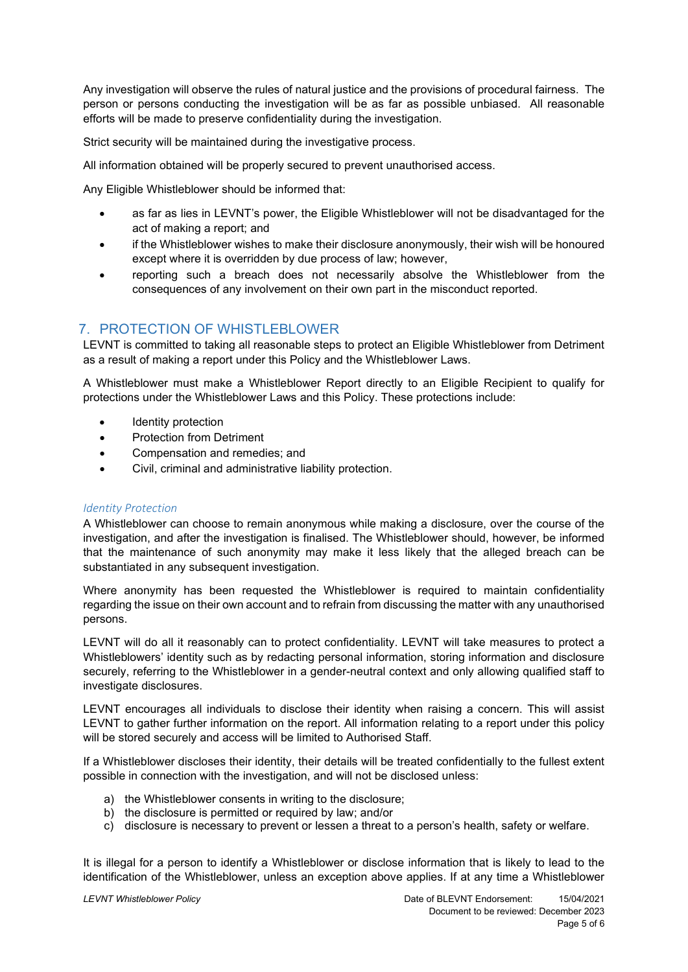Any investigation will observe the rules of natural justice and the provisions of procedural fairness. The person or persons conducting the investigation will be as far as possible unbiased. All reasonable efforts will be made to preserve confidentiality during the investigation.

Strict security will be maintained during the investigative process.

All information obtained will be properly secured to prevent unauthorised access.

Any Eligible Whistleblower should be informed that:

- as far as lies in LEVNT's power, the Eligible Whistleblower will not be disadvantaged for the act of making a report; and
- if the Whistleblower wishes to make their disclosure anonymously, their wish will be honoured except where it is overridden by due process of law; however,
- reporting such a breach does not necessarily absolve the Whistleblower from the consequences of any involvement on their own part in the misconduct reported.

# 7. PROTECTION OF WHISTLEBLOWER

LEVNT is committed to taking all reasonable steps to protect an Eligible Whistleblower from Detriment as a result of making a report under this Policy and the Whistleblower Laws.

A Whistleblower must make a Whistleblower Report directly to an Eligible Recipient to qualify for protections under the Whistleblower Laws and this Policy. These protections include:

- Identity protection
- Protection from Detriment
- Compensation and remedies; and
- Civil, criminal and administrative liability protection.

## *Identity Protection*

A Whistleblower can choose to remain anonymous while making a disclosure, over the course of the investigation, and after the investigation is finalised. The Whistleblower should, however, be informed that the maintenance of such anonymity may make it less likely that the alleged breach can be substantiated in any subsequent investigation.

Where anonymity has been requested the Whistleblower is required to maintain confidentiality regarding the issue on their own account and to refrain from discussing the matter with any unauthorised persons.

LEVNT will do all it reasonably can to protect confidentiality. LEVNT will take measures to protect a Whistleblowers' identity such as by redacting personal information, storing information and disclosure securely, referring to the Whistleblower in a gender-neutral context and only allowing qualified staff to investigate disclosures.

LEVNT encourages all individuals to disclose their identity when raising a concern. This will assist LEVNT to gather further information on the report. All information relating to a report under this policy will be stored securely and access will be limited to Authorised Staff.

If a Whistleblower discloses their identity, their details will be treated confidentially to the fullest extent possible in connection with the investigation, and will not be disclosed unless:

- a) the Whistleblower consents in writing to the disclosure;
- b) the disclosure is permitted or required by law; and/or
- c) disclosure is necessary to prevent or lessen a threat to a person's health, safety or welfare.

It is illegal for a person to identify a Whistleblower or disclose information that is likely to lead to the identification of the Whistleblower, unless an exception above applies. If at any time a Whistleblower